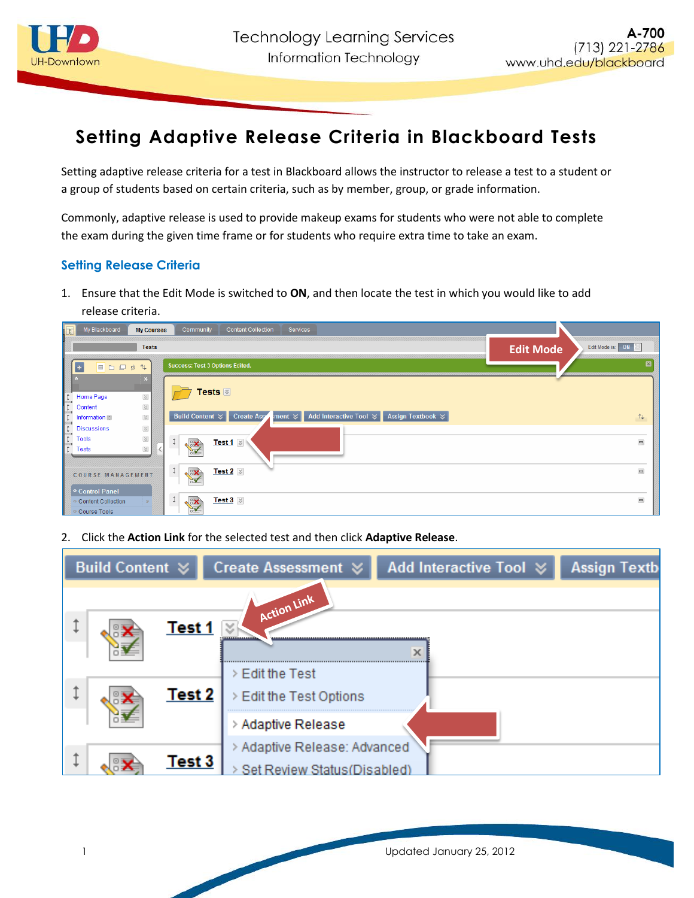

## **Setting Adaptive Release Criteria in Blackboard Tests**

Setting adaptive release criteria for a test in Blackboard allows the instructor to release a test to a student or a group of students based on certain criteria, such as by member, group, or grade information.

Commonly, adaptive release is used to provide makeup exams for students who were not able to complete the exam during the given time frame or for students who require extra time to take an exam.

## **Setting Release Criteria**

1. Ensure that the Edit Mode is switched to **ON**, and then locate the test in which you would like to add release criteria.



2. Click the **Action Link** for the selected test and then click **Adaptive Release**.

| <b>Build Content ☆</b>      | Create Assessment <b>☆</b>                                                         | Add Interactive Tool ≥ | <b>Assign Textb</b> |
|-----------------------------|------------------------------------------------------------------------------------|------------------------|---------------------|
| Test 1<br>Test <sub>2</sub> | Action Link<br>¥<br>***************<br>> Edit the Test<br>> Edit the Test Options  | x                      |                     |
| Test 3                      | > Adaptive Release<br>> Adaptive Release: Advanced<br>Set Review Status (Disabled) |                        |                     |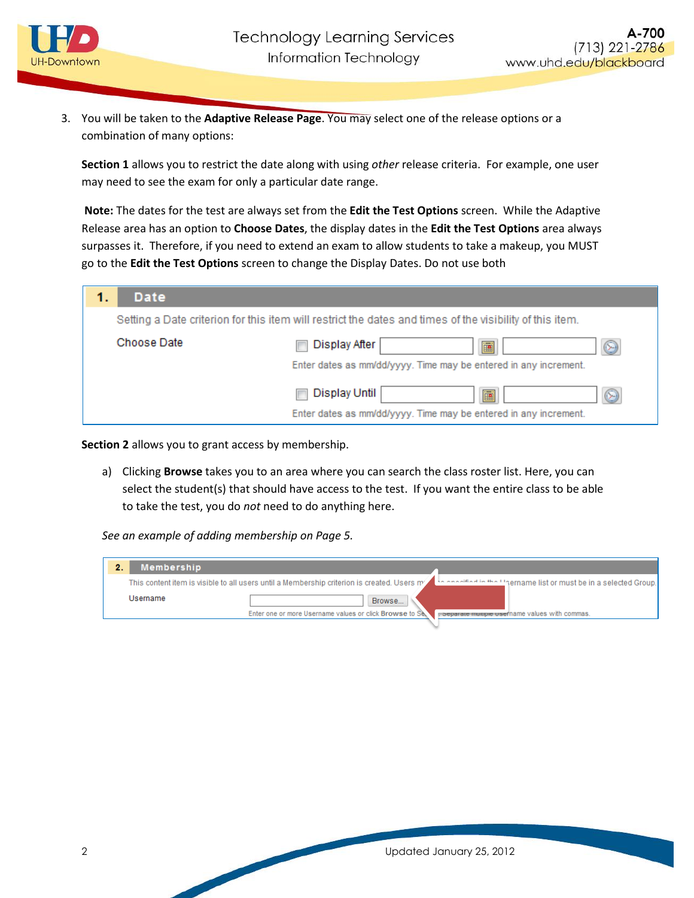

3. You will be taken to the **Adaptive Release Page**. You may select one of the release options or a combination of many options:

**Section 1** allows you to restrict the date along with using *other* release criteria. For example, one user may need to see the exam for only a particular date range.

**Note:** The dates for the test are always set from the **Edit the Test Options** screen. While the Adaptive Release area has an option to **Choose Dates**, the display dates in the **Edit the Test Options** area always surpasses it. Therefore, if you need to extend an exam to allow students to take a makeup, you MUST go to the **Edit the Test Options** screen to change the Display Dates. Do not use both

| 1. | <b>Date</b> |                                                                                                          |
|----|-------------|----------------------------------------------------------------------------------------------------------|
|    |             | Setting a Date criterion for this item will restrict the dates and times of the visibility of this item. |
|    | Choose Date | Display After<br>☺<br>匾<br>Enter dates as mm/dd/yyyy. Time may be entered in any increment.              |
|    |             | ⊛<br>Display Until<br>匾<br>Enter dates as mm/dd/yyyy. Time may be entered in any increment.              |

**Section 2** allows you to grant access by membership.

a) Clicking **Browse** takes you to an area where you can search the class roster list. Here, you can select the student(s) that should have access to the test. If you want the entire class to be able to take the test, you do *not* need to do anything here.

*See an example of adding membership on Page 5.*

| <b>Membership</b><br>2. |                                                                                                                                                                |
|-------------------------|----------------------------------------------------------------------------------------------------------------------------------------------------------------|
|                         | pername list or must be in a selected Group.] المطلعة معصمه مثل<br>This content item is visible to all users until a Membership criterion is created. Users m/ |
| Username                | Browse                                                                                                                                                         |
|                         | Enter one or more Username values or click Browse to Se.<br>. Separate multiple usef hame values with commas.                                                  |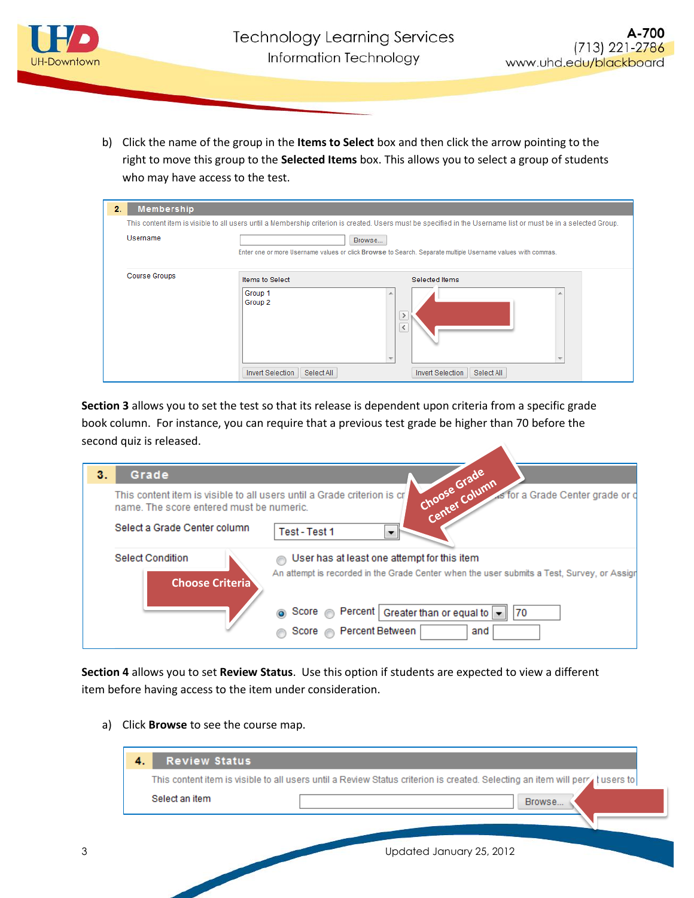

b) Click the name of the group in the **Items to Select** box and then click the arrow pointing to the right to move this group to the **Selected Items** box. This allows you to select a group of students who may have access to the test.

| 2.<br><b>Membership</b> |                                                                                                                                                                 |                                                                                     |  |
|-------------------------|-----------------------------------------------------------------------------------------------------------------------------------------------------------------|-------------------------------------------------------------------------------------|--|
|                         | This content item is visible to all users until a Membership criterion is created. Users must be specified in the Username list or must be in a selected Group. |                                                                                     |  |
| Username                | Browse<br>Enter one or more Username values or click Browse to Search. Separate multiple Username values with commas.                                           |                                                                                     |  |
| <b>Course Groups</b>    | <b>Items to Select</b><br>Group 1<br>Group <sub>2</sub><br>Select All<br><b>Invert Selection</b>                                                                | Selected Items<br>$\rightarrow$<br>$\zeta$<br><b>Invert Selection</b><br>Select All |  |

**Section 3** allows you to set the test so that its release is dependent upon criteria from a specific grade book column. For instance, you can require that a previous test grade be higher than 70 before the second quiz is released.

| з.                                                                                                                  | Grade                                             |                                                                                                                                           |
|---------------------------------------------------------------------------------------------------------------------|---------------------------------------------------|-------------------------------------------------------------------------------------------------------------------------------------------|
| This content item is visible to all users until a Grade criterion is cr<br>name. The score entered must be numeric. |                                                   | Choose Grade<br>As for a Grade Center grade or o                                                                                          |
|                                                                                                                     | Select a Grade Center column                      | Test - Test 1                                                                                                                             |
|                                                                                                                     | <b>Select Condition</b><br><b>Choose Criteria</b> | User has at least one attempt for this item<br>An attempt is recorded in the Grade Center when the user submits a Test, Survey, or Assigr |
|                                                                                                                     |                                                   | score ● Percent   Greater than or equal to   170<br>Score <b>Percent Between</b><br>and                                                   |

**Section 4** allows you to set **Review Status**. Use this option if students are expected to view a different item before having access to the item under consideration.

a) Click **Browse** to see the course map.

| <b>Review Status</b> |                                                                                                                              |
|----------------------|------------------------------------------------------------------------------------------------------------------------------|
|                      | This content item is visible to all users until a Review Status criterion is created. Selecting an item will perra tusers to |
| Select an item       | Browse                                                                                                                       |
|                      |                                                                                                                              |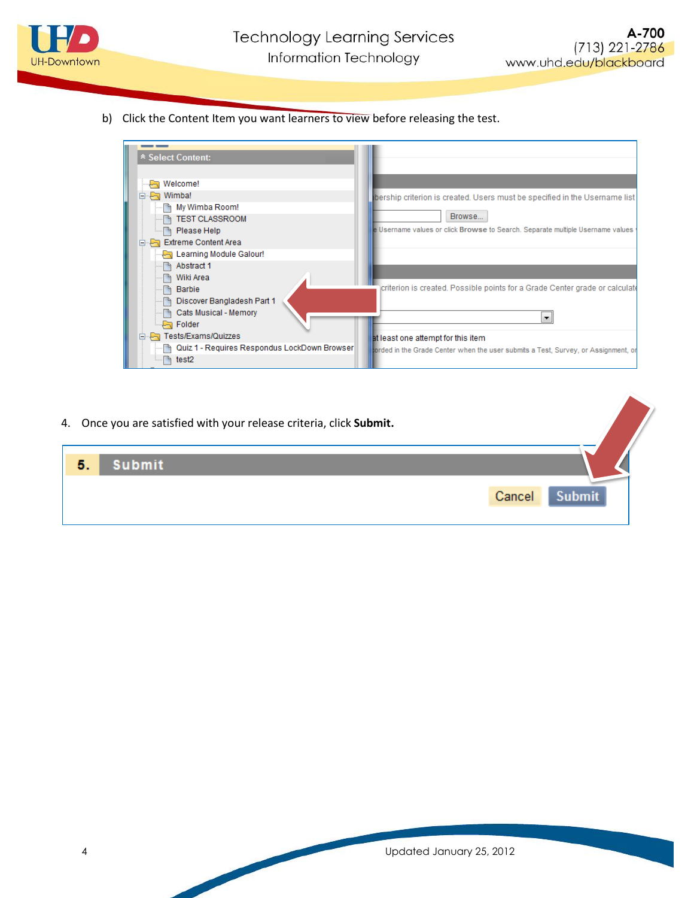

b) Click the Content Item you want learners to view before releasing the test.

| * Select Content:                                |                                                                                   |
|--------------------------------------------------|-----------------------------------------------------------------------------------|
|                                                  |                                                                                   |
|                                                  |                                                                                   |
| — पि Welcome!                                    |                                                                                   |
| <b>P</b> a Wimba!<br>E                           | bership criterion is created. Users must be specified in the Username list        |
| ■ My Wimba Room!                                 |                                                                                   |
| <b>TEST CLASSROOM</b>                            | Browse                                                                            |
| A Please Help                                    | e Username values or click Browse to Search. Separate multiple Username values    |
| <b>Extreme Content Area</b><br>E                 |                                                                                   |
| <b>Pa</b> Learning Module Galour!                |                                                                                   |
| <b>■ Abstract 1</b>                              |                                                                                   |
| Wiki Area                                        |                                                                                   |
| Barbie<br>m                                      | criterion is created. Possible points for a Grade Center grade or calculate       |
| Discover Bangladesh Part 1                       |                                                                                   |
| Cats Musical - Memory<br>h                       |                                                                                   |
| <b>Pa</b> Folder                                 | ▼                                                                                 |
| Fa Tests/Exams/Quizzes                           | at least one attempt for this item                                                |
| ┈ 国 Quiz 1 - Requires Respondus LockDown Browser | orded in the Grade Center when the user submits a Test, Survey, or Assignment, or |
| test2                                            |                                                                                   |

4. Once you are satisfied with your release criteria, click **Submit.**

| <b>Suhmit</b><br>5. |        |
|---------------------|--------|
|                     | Cancel |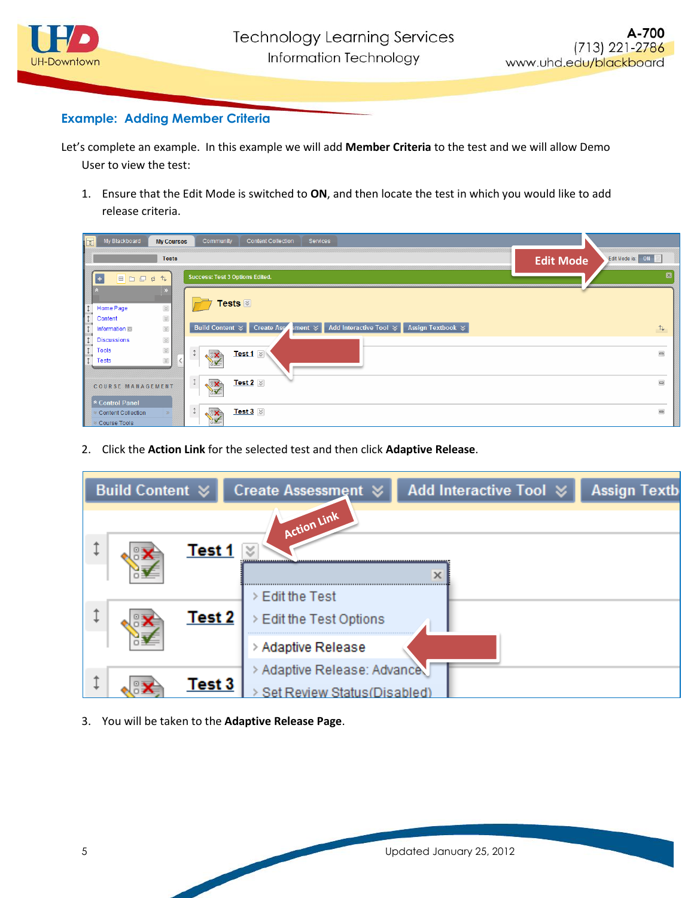

## **Example: Adding Member Criteria**

Let's complete an example. In this example we will add **Member Criteria** to the test and we will allow Demo User to view the test:

1. Ensure that the Edit Mode is switched to **ON**, and then locate the test in which you would like to add release criteria.

| $\overline{\mathbb{R}}$<br>My Blackboard<br><b>My Courses</b>                                            | Community<br><b>Content Collection</b><br>Services                                                                                                        |                                      |
|----------------------------------------------------------------------------------------------------------|-----------------------------------------------------------------------------------------------------------------------------------------------------------|--------------------------------------|
| <b>Tests</b>                                                                                             |                                                                                                                                                           | Edit Mode is: ON<br><b>Edit Mode</b> |
| <b>BDDS</b><br>$\uparrow \downarrow$<br>$\left  \cdot \right $                                           | <b>Success: Test 3 Options Edited.</b>                                                                                                                    | $\overline{\mathbf{x}}$              |
| $\leq$<br>Home Page<br><b>K</b><br>Content<br>$\preccurlyeq$<br>Information                              | Tests <b>⊠</b><br>Build Content $\forall$ Create Assetiment $\forall$<br><b>Add Interactive Tool </b> $\angle$ <b>1</b><br><b>Assign Textbook </b> $\leq$ | $\uparrow \downarrow$                |
| $\preccurlyeq$<br><b>Discussions</b><br>$\preccurlyeq$<br><b>Tools</b><br>$\preccurlyeq$<br><b>Tests</b> | Test 1 $\otimes$<br><b>VX</b>                                                                                                                             | $\qquad \qquad \Box$                 |
| COURSE MANAGEMENT<br>* Control Panel                                                                     | $\updownarrow$<br>Test 2 $\,\approx$<br>EX<br>ੇ¥                                                                                                          | $\qquad \qquad \Box$                 |
| Course Tools                                                                                             | $\downarrow$<br>Test $3 \times$<br><b>VIX</b>                                                                                                             | $\qquad \qquad =$                    |

2. Click the **Action Link** for the selected test and then click **Adaptive Release**.

| <b>Build Content ≫</b>             | Create Assessment ☆                                                               | Add Interactive Tool ≥ | <b>Assign Textb</b> |
|------------------------------------|-----------------------------------------------------------------------------------|------------------------|---------------------|
| <b>Test 1</b><br>Test <sub>2</sub> | Action Link<br>¥<br>> Edit the Test<br>> Edit the Test Options                    | x                      |                     |
| Test 3                             | > Adaptive Release<br>> Adaptive Release: Advance<br>Set Review Status (Disabled) |                        |                     |

3. You will be taken to the **Adaptive Release Page**.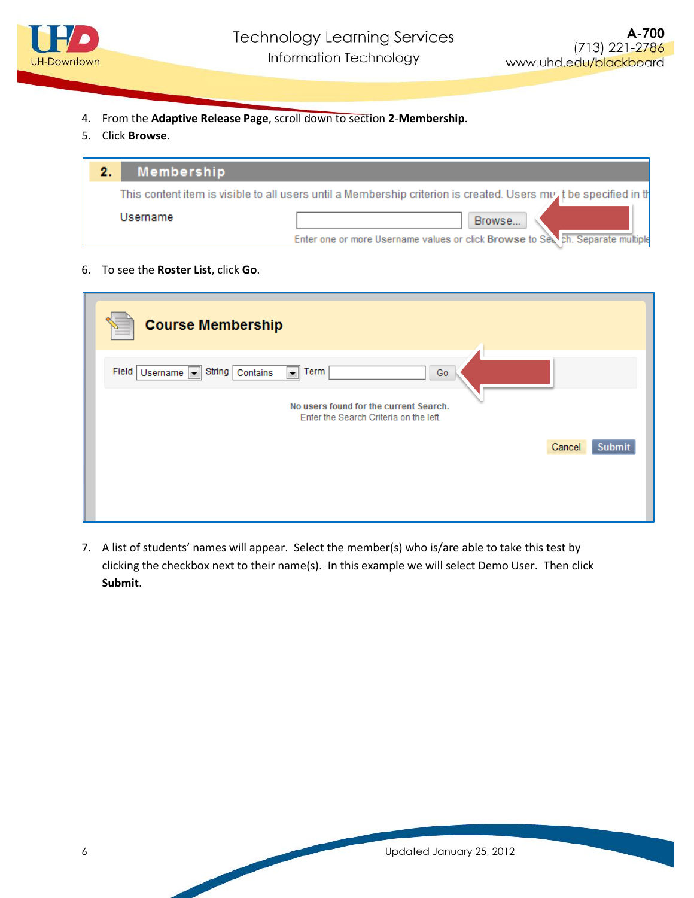

- 4. From the **Adaptive Release Page**, scroll down to section **2**-**Membership**.
- 5. Click **Browse**.

| 2. | Membership |                                                                                                                      |
|----|------------|----------------------------------------------------------------------------------------------------------------------|
|    |            | This content item is visible to all users until a Membership criterion is created. Users $mv'$ t be specified in the |
|    | Username   | Browse                                                                                                               |
|    |            | Enter one or more Username values or click Browse to Sex ch. Separate multiple                                       |

6. To see the **Roster List**, click **Go**.

| <b>Course Membership</b>                                                                                                                    |                         |
|---------------------------------------------------------------------------------------------------------------------------------------------|-------------------------|
| Field<br>Username v String Contains<br>Term<br>E.<br>Go<br>No users found for the current Search.<br>Enter the Search Criteria on the left. |                         |
|                                                                                                                                             | Cancel<br><b>Submit</b> |

7. A list of students' names will appear. Select the member(s) who is/are able to take this test by clicking the checkbox next to their name(s). In this example we will select Demo User. Then click **Submit**.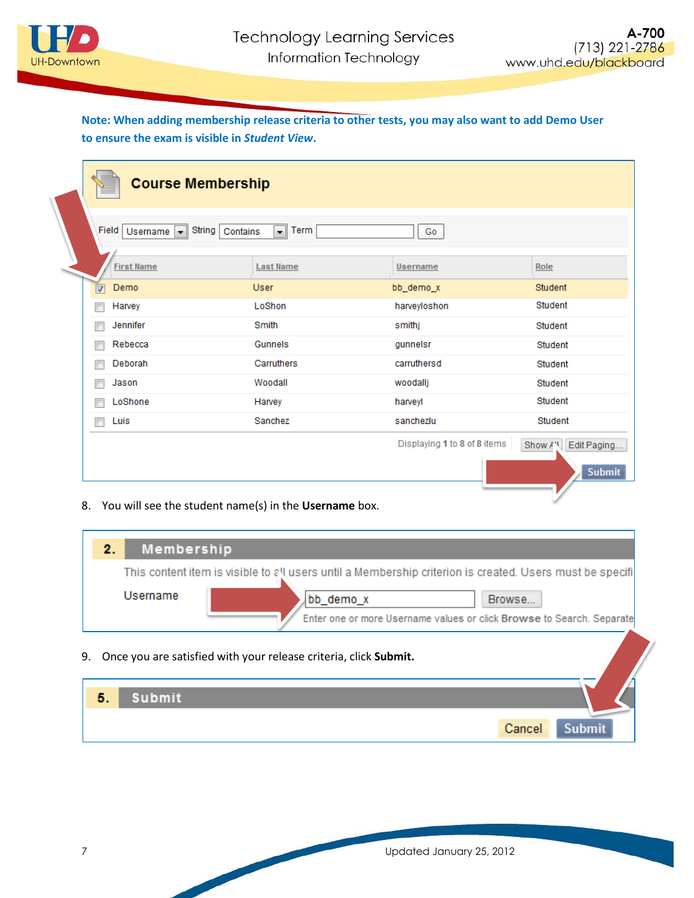

## **Note: When adding membership release criteria to other tests, you may also want to add Demo User to ensure the exam is visible in** *Student View***.**

| <b>Course Membership</b>        |                                                                           |              |         |  |  |  |
|---------------------------------|---------------------------------------------------------------------------|--------------|---------|--|--|--|
| Field<br>Usemame $\  \cdot \ $  | String<br>Term<br>$\overline{\phantom{a}}$<br>Contains<br>Go              |              |         |  |  |  |
| <b>First Name</b>               | <b>Last Name</b>                                                          | Username     | Role    |  |  |  |
| Demo<br>$\overline{\mathbf{v}}$ | <b>User</b>                                                               | bb_demo_x    | Student |  |  |  |
| Harvey<br>г                     | LoShon                                                                    | harveyloshon | Student |  |  |  |
| Jennifer<br>г                   | Smith                                                                     | smithj       | Student |  |  |  |
| Rebecca<br>г                    | Gunnels                                                                   | gunnelsr     | Student |  |  |  |
| Deborah<br>г                    | Carruthers                                                                | carruthersd  | Student |  |  |  |
| Jason<br>Г                      | Woodall                                                                   | woodallj     | Student |  |  |  |
| LoShone<br>г                    | Harvey                                                                    | harveyl      | Student |  |  |  |
| Luis<br>г                       | Sanchez                                                                   | sanchezlu    | Student |  |  |  |
|                                 | Displaying 1 to 8 of 8 items<br>Edit Paging<br>Show A'll<br><b>Submit</b> |              |         |  |  |  |

8. You will see the student name(s) in the **Username** box.

| <b>Membership</b><br>2. |                                                                                                                                                                                                          |
|-------------------------|----------------------------------------------------------------------------------------------------------------------------------------------------------------------------------------------------------|
| Username                | This content item is visible to all users until a Membership criterion is created. Users must be specifi<br>bb_demo_x<br>Browse<br>Enter one or more Username values or click Browse to Search. Separate |
|                         | 9. Once you are satisfied with your release criteria, click Submit.                                                                                                                                      |

| 5. | <b>Submit</b> |        |               |
|----|---------------|--------|---------------|
|    |               | Cancel | <b>Submit</b> |